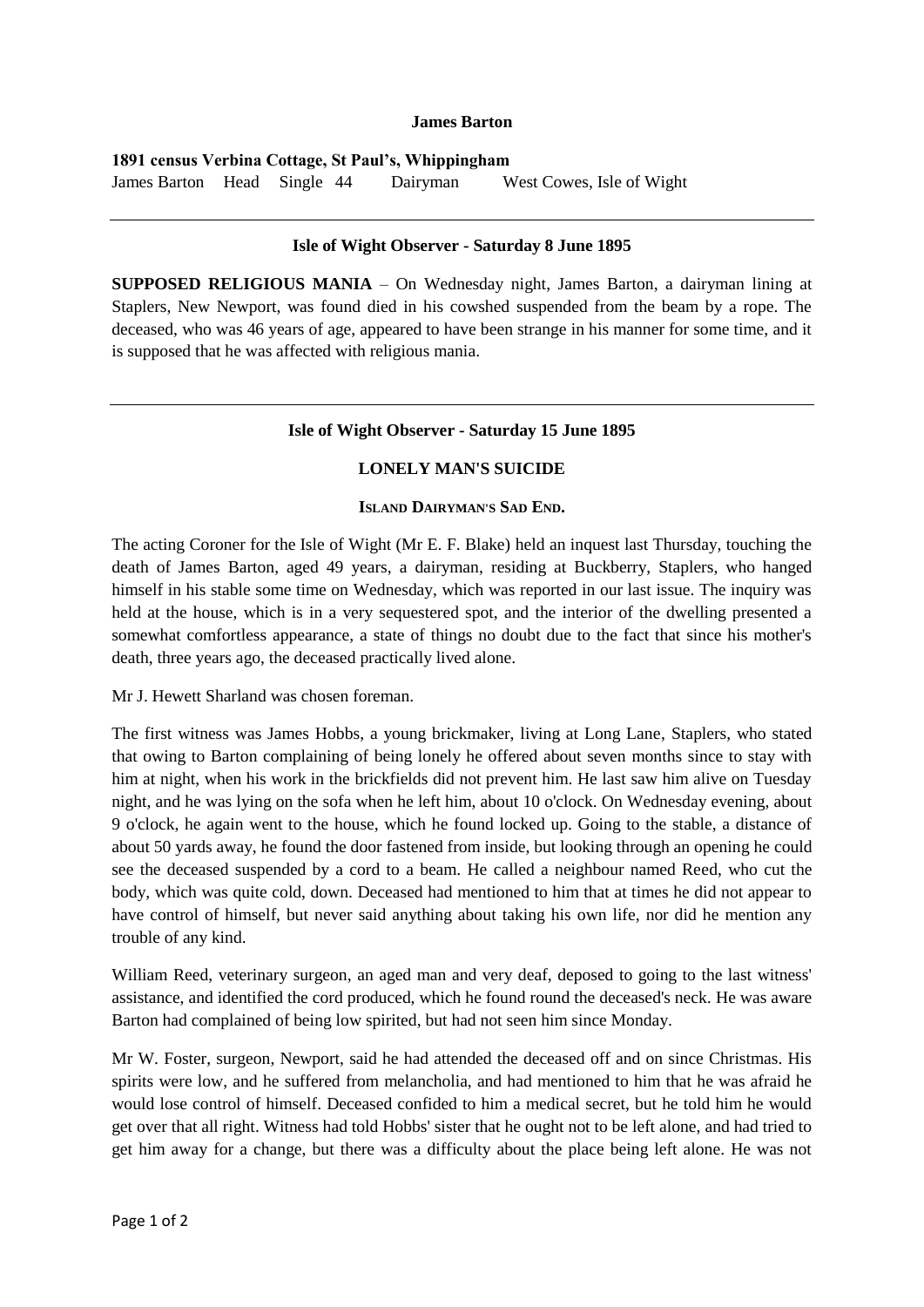### **James Barton**

**1891 census Verbina Cottage, St Paul's, Whippingham** James Barton Head Single 44 Dairyman West Cowes, Isle of Wight

# **Isle of Wight Observer - Saturday 8 June 1895**

**SUPPOSED RELIGIOUS MANIA** – On Wednesday night, James Barton, a dairyman lining at Staplers, New Newport, was found died in his cowshed suspended from the beam by a rope. The deceased, who was 46 years of age, appeared to have been strange in his manner for some time, and it is supposed that he was affected with religious mania.

### **Isle of Wight Observer - Saturday 15 June 1895**

### **LONELY MAN'S SUICIDE**

# **ISLAND DAIRYMAN'S SAD END.**

The acting Coroner for the Isle of Wight (Mr E. F. Blake) held an inquest last Thursday, touching the death of James Barton, aged 49 years, a dairyman, residing at Buckberry, Staplers, who hanged himself in his stable some time on Wednesday, which was reported in our last issue. The inquiry was held at the house, which is in a very sequestered spot, and the interior of the dwelling presented a somewhat comfortless appearance, a state of things no doubt due to the fact that since his mother's death, three years ago, the deceased practically lived alone.

Mr J. Hewett Sharland was chosen foreman.

The first witness was James Hobbs, a young brickmaker, living at Long Lane, Staplers, who stated that owing to Barton complaining of being lonely he offered about seven months since to stay with him at night, when his work in the brickfields did not prevent him. He last saw him alive on Tuesday night, and he was lying on the sofa when he left him, about 10 o'clock. On Wednesday evening, about 9 o'clock, he again went to the house, which he found locked up. Going to the stable, a distance of about 50 yards away, he found the door fastened from inside, but looking through an opening he could see the deceased suspended by a cord to a beam. He called a neighbour named Reed, who cut the body, which was quite cold, down. Deceased had mentioned to him that at times he did not appear to have control of himself, but never said anything about taking his own life, nor did he mention any trouble of any kind.

William Reed, veterinary surgeon, an aged man and very deaf, deposed to going to the last witness' assistance, and identified the cord produced, which he found round the deceased's neck. He was aware Barton had complained of being low spirited, but had not seen him since Monday.

Mr W. Foster, surgeon, Newport, said he had attended the deceased off and on since Christmas. His spirits were low, and he suffered from melancholia, and had mentioned to him that he was afraid he would lose control of himself. Deceased confided to him a medical secret, but he told him he would get over that all right. Witness had told Hobbs' sister that he ought not to be left alone, and had tried to get him away for a change, but there was a difficulty about the place being left alone. He was not